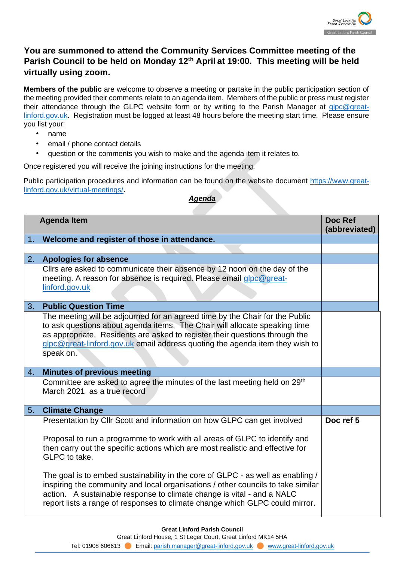

## **You are summoned to attend the Community Services Committee meeting of the Parish Council to be held on Monday 12th April at 19:00. This meeting will be held virtually using zoom.**

**Members of the public** are welcome to observe a meeting or partake in the public participation section of the meeting provided their comments relate to an agenda item. Members of the public or press must register their attendance through the GLPC website form or by writing to the Parish Manager at glpc@greatlinford.gov.uk. Registration must be logged at least 48 hours before the meeting start time. Please ensure you list your:

- name
- email / phone contact details
- question or the comments you wish to make and the agenda item it relates to.

Once registered you will receive the joining instructions for the meeting.

Public participation procedures and information can be found on the website document [https://www.great](https://www.great-linford.gov.uk/virtual-meetings/)[linford.gov.uk/virtual-meetings/](https://www.great-linford.gov.uk/virtual-meetings/)**[.](https://www.great-linford.gov.uk/virtual-meetings/)**

## *Agenda*

| Doc Ref<br>(abbreviated) |
|--------------------------|
|                          |
|                          |
|                          |
|                          |
|                          |
|                          |
|                          |
|                          |
|                          |
|                          |
|                          |
|                          |
|                          |
|                          |
|                          |
|                          |
|                          |
|                          |
| Doc ref 5                |
|                          |
|                          |
|                          |
|                          |
|                          |
|                          |
|                          |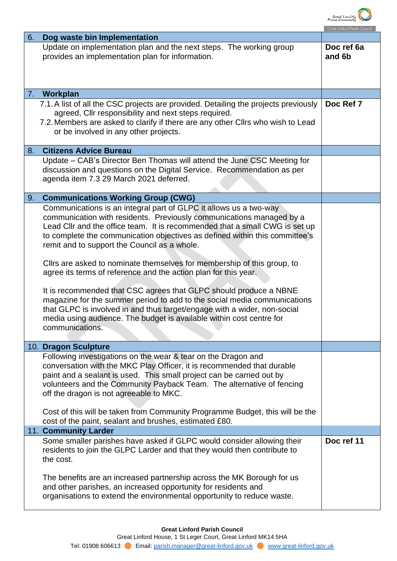

|                                                                                                                                                                                                                                                                                                                                                                                                                      | Great Linford Parish Counci |
|----------------------------------------------------------------------------------------------------------------------------------------------------------------------------------------------------------------------------------------------------------------------------------------------------------------------------------------------------------------------------------------------------------------------|-----------------------------|
| 6.<br>Dog waste bin Implementation                                                                                                                                                                                                                                                                                                                                                                                   |                             |
| Update on implementation plan and the next steps. The working group<br>provides an implementation plan for information.                                                                                                                                                                                                                                                                                              | Doc ref 6a<br>and 6b        |
| Workplan<br>7.                                                                                                                                                                                                                                                                                                                                                                                                       |                             |
| 7.1. A list of all the CSC projects are provided. Detailing the projects previously<br>agreed, Cllr responsibility and next steps required.<br>7.2. Members are asked to clarify if there are any other Cllrs who wish to Lead<br>or be involved in any other projects.                                                                                                                                              | Doc Ref 7                   |
| <b>Citizens Advice Bureau</b><br>8.                                                                                                                                                                                                                                                                                                                                                                                  |                             |
| Update – CAB's Director Ben Thomas will attend the June CSC Meeting for<br>discussion and questions on the Digital Service. Recommendation as per<br>agenda item 7.3 29 March 2021 deferred.                                                                                                                                                                                                                         |                             |
| <b>Communications Working Group (CWG)</b><br>9.                                                                                                                                                                                                                                                                                                                                                                      |                             |
| Communications is an integral part of GLPC it allows us a two-way<br>communication with residents. Previously communications managed by a<br>Lead Cllr and the office team. It is recommended that a small CWG is set up<br>to complete the communication objectives as defined within this committee's<br>remit and to support the Council as a whole.                                                              |                             |
| Clirs are asked to nominate themselves for membership of this group, to<br>agree its terms of reference and the action plan for this year.                                                                                                                                                                                                                                                                           |                             |
| It is recommended that CSC agrees that GLPC should produce a NBNE<br>magazine for the summer period to add to the social media communications<br>that GLPC is involved in and thus target/engage with a wider, non-social<br>media using audience. The budget is available within cost centre for<br>communications.                                                                                                 |                             |
| 10. Dragon Sculpture                                                                                                                                                                                                                                                                                                                                                                                                 |                             |
| Following investigations on the wear & tear on the Dragon and<br>conversation with the MKC Play Officer, it is recommended that durable<br>paint and a sealant is used. This small project can be carried out by<br>volunteers and the Community Payback Team. The alternative of fencing<br>off the dragon is not agreeable to MKC.<br>Cost of this will be taken from Community Programme Budget, this will be the |                             |
| cost of the paint, sealant and brushes, estimated £80.                                                                                                                                                                                                                                                                                                                                                               |                             |
| 11. Community Larder                                                                                                                                                                                                                                                                                                                                                                                                 |                             |
| Some smaller parishes have asked if GLPC would consider allowing their<br>residents to join the GLPC Larder and that they would then contribute to<br>the cost.                                                                                                                                                                                                                                                      | Doc ref 11                  |
| The benefits are an increased partnership across the MK Borough for us<br>and other parishes, an increased opportunity for residents and<br>organisations to extend the environmental opportunity to reduce waste.                                                                                                                                                                                                   |                             |